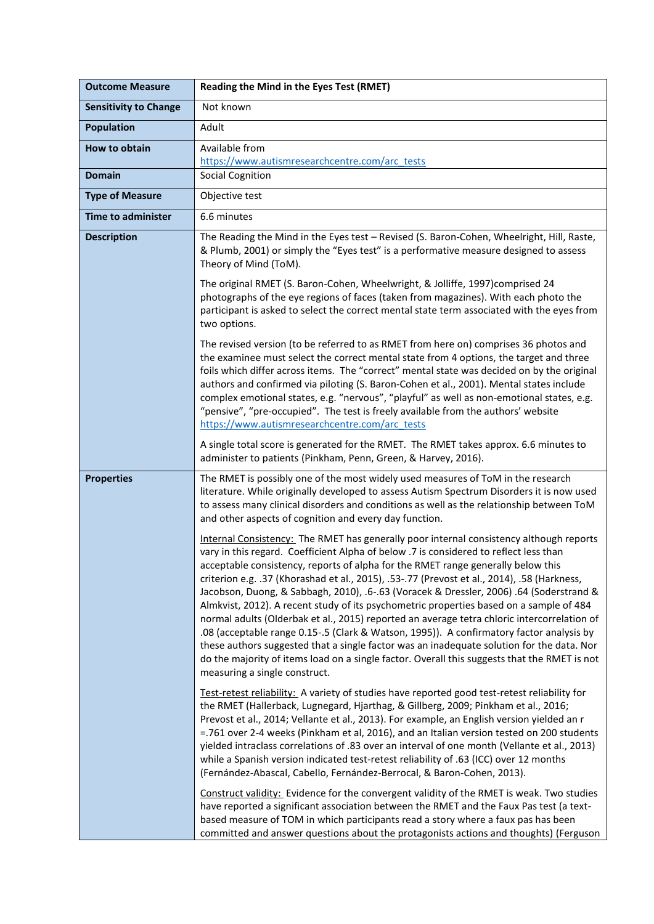| <b>Outcome Measure</b>       | Reading the Mind in the Eyes Test (RMET)                                                                                                                                                                                                                                                                                                                                                                                                                                                                                                                                                                                                                                                                                                                                                                                                                                                                                                                                           |
|------------------------------|------------------------------------------------------------------------------------------------------------------------------------------------------------------------------------------------------------------------------------------------------------------------------------------------------------------------------------------------------------------------------------------------------------------------------------------------------------------------------------------------------------------------------------------------------------------------------------------------------------------------------------------------------------------------------------------------------------------------------------------------------------------------------------------------------------------------------------------------------------------------------------------------------------------------------------------------------------------------------------|
| <b>Sensitivity to Change</b> | Not known                                                                                                                                                                                                                                                                                                                                                                                                                                                                                                                                                                                                                                                                                                                                                                                                                                                                                                                                                                          |
| <b>Population</b>            | Adult                                                                                                                                                                                                                                                                                                                                                                                                                                                                                                                                                                                                                                                                                                                                                                                                                                                                                                                                                                              |
| How to obtain                | Available from                                                                                                                                                                                                                                                                                                                                                                                                                                                                                                                                                                                                                                                                                                                                                                                                                                                                                                                                                                     |
| <b>Domain</b>                | https://www.autismresearchcentre.com/arc_tests<br><b>Social Cognition</b>                                                                                                                                                                                                                                                                                                                                                                                                                                                                                                                                                                                                                                                                                                                                                                                                                                                                                                          |
| <b>Type of Measure</b>       | Objective test                                                                                                                                                                                                                                                                                                                                                                                                                                                                                                                                                                                                                                                                                                                                                                                                                                                                                                                                                                     |
| <b>Time to administer</b>    | 6.6 minutes                                                                                                                                                                                                                                                                                                                                                                                                                                                                                                                                                                                                                                                                                                                                                                                                                                                                                                                                                                        |
| <b>Description</b>           | The Reading the Mind in the Eyes test - Revised (S. Baron-Cohen, Wheelright, Hill, Raste,<br>& Plumb, 2001) or simply the "Eyes test" is a performative measure designed to assess<br>Theory of Mind (ToM).                                                                                                                                                                                                                                                                                                                                                                                                                                                                                                                                                                                                                                                                                                                                                                        |
|                              | The original RMET (S. Baron-Cohen, Wheelwright, & Jolliffe, 1997)comprised 24<br>photographs of the eye regions of faces (taken from magazines). With each photo the<br>participant is asked to select the correct mental state term associated with the eyes from<br>two options.                                                                                                                                                                                                                                                                                                                                                                                                                                                                                                                                                                                                                                                                                                 |
|                              | The revised version (to be referred to as RMET from here on) comprises 36 photos and<br>the examinee must select the correct mental state from 4 options, the target and three<br>foils which differ across items. The "correct" mental state was decided on by the original<br>authors and confirmed via piloting (S. Baron-Cohen et al., 2001). Mental states include<br>complex emotional states, e.g. "nervous", "playful" as well as non-emotional states, e.g.<br>"pensive", "pre-occupied". The test is freely available from the authors' website<br>https://www.autismresearchcentre.com/arc_tests                                                                                                                                                                                                                                                                                                                                                                        |
|                              | A single total score is generated for the RMET. The RMET takes approx. 6.6 minutes to<br>administer to patients (Pinkham, Penn, Green, & Harvey, 2016).                                                                                                                                                                                                                                                                                                                                                                                                                                                                                                                                                                                                                                                                                                                                                                                                                            |
| <b>Properties</b>            | The RMET is possibly one of the most widely used measures of ToM in the research<br>literature. While originally developed to assess Autism Spectrum Disorders it is now used<br>to assess many clinical disorders and conditions as well as the relationship between ToM<br>and other aspects of cognition and every day function.                                                                                                                                                                                                                                                                                                                                                                                                                                                                                                                                                                                                                                                |
|                              | Internal Consistency: The RMET has generally poor internal consistency although reports<br>vary in this regard. Coefficient Alpha of below .7 is considered to reflect less than<br>acceptable consistency, reports of alpha for the RMET range generally below this<br>criterion e.g. .37 (Khorashad et al., 2015), .53-.77 (Prevost et al., 2014), .58 (Harkness,<br>Jacobson, Duong, & Sabbagh, 2010), .6-.63 (Voracek & Dressler, 2006) .64 (Soderstrand &<br>Almkvist, 2012). A recent study of its psychometric properties based on a sample of 484<br>normal adults (Olderbak et al., 2015) reported an average tetra chloric intercorrelation of<br>.08 (acceptable range 0.15-.5 (Clark & Watson, 1995)). A confirmatory factor analysis by<br>these authors suggested that a single factor was an inadequate solution for the data. Nor<br>do the majority of items load on a single factor. Overall this suggests that the RMET is not<br>measuring a single construct. |
|                              | Test-retest reliability: A variety of studies have reported good test-retest reliability for<br>the RMET (Hallerback, Lugnegard, Hjarthag, & Gillberg, 2009; Pinkham et al., 2016;<br>Prevost et al., 2014; Vellante et al., 2013). For example, an English version yielded an r<br>=.761 over 2-4 weeks (Pinkham et al, 2016), and an Italian version tested on 200 students<br>yielded intraclass correlations of .83 over an interval of one month (Vellante et al., 2013)<br>while a Spanish version indicated test-retest reliability of .63 (ICC) over 12 months<br>(Fernández-Abascal, Cabello, Fernández-Berrocal, & Baron-Cohen, 2013).                                                                                                                                                                                                                                                                                                                                   |
|                              | Construct validity: Evidence for the convergent validity of the RMET is weak. Two studies<br>have reported a significant association between the RMET and the Faux Pas test (a text-<br>based measure of TOM in which participants read a story where a faux pas has been<br>committed and answer questions about the protagonists actions and thoughts) (Ferguson                                                                                                                                                                                                                                                                                                                                                                                                                                                                                                                                                                                                                 |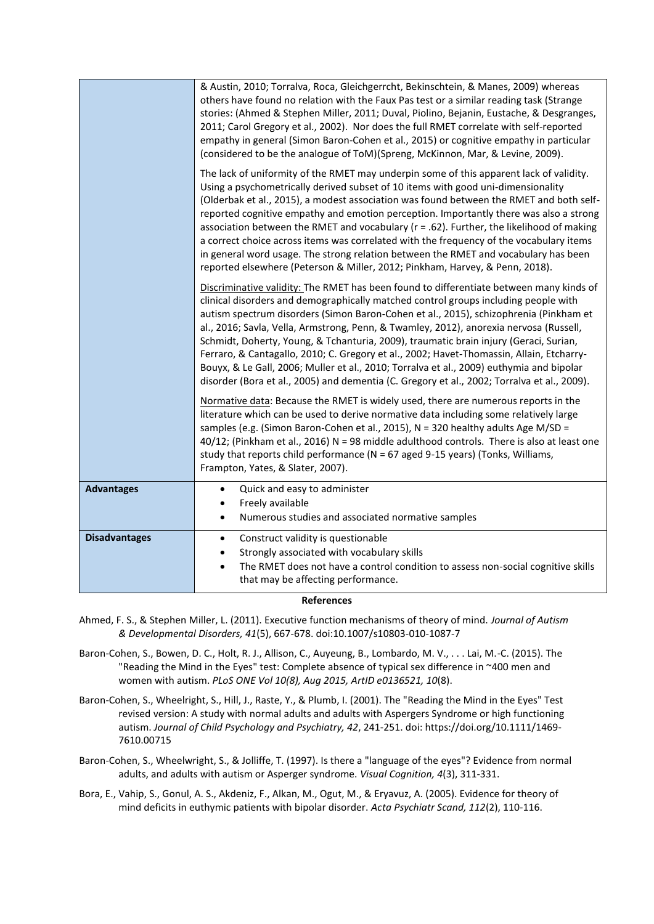|                      | & Austin, 2010; Torralva, Roca, Gleichgerrcht, Bekinschtein, & Manes, 2009) whereas<br>others have found no relation with the Faux Pas test or a similar reading task (Strange<br>stories: (Ahmed & Stephen Miller, 2011; Duval, Piolino, Bejanin, Eustache, & Desgranges,<br>2011; Carol Gregory et al., 2002). Nor does the full RMET correlate with self-reported<br>empathy in general (Simon Baron-Cohen et al., 2015) or cognitive empathy in particular<br>(considered to be the analogue of ToM)(Spreng, McKinnon, Mar, & Levine, 2009).                                                                                                                                                                                                  |
|----------------------|---------------------------------------------------------------------------------------------------------------------------------------------------------------------------------------------------------------------------------------------------------------------------------------------------------------------------------------------------------------------------------------------------------------------------------------------------------------------------------------------------------------------------------------------------------------------------------------------------------------------------------------------------------------------------------------------------------------------------------------------------|
|                      | The lack of uniformity of the RMET may underpin some of this apparent lack of validity.<br>Using a psychometrically derived subset of 10 items with good uni-dimensionality<br>(Olderbak et al., 2015), a modest association was found between the RMET and both self-<br>reported cognitive empathy and emotion perception. Importantly there was also a strong<br>association between the RMET and vocabulary ( $r = .62$ ). Further, the likelihood of making<br>a correct choice across items was correlated with the frequency of the vocabulary items<br>in general word usage. The strong relation between the RMET and vocabulary has been<br>reported elsewhere (Peterson & Miller, 2012; Pinkham, Harvey, & Penn, 2018).                |
|                      | Discriminative validity: The RMET has been found to differentiate between many kinds of<br>clinical disorders and demographically matched control groups including people with<br>autism spectrum disorders (Simon Baron-Cohen et al., 2015), schizophrenia (Pinkham et<br>al., 2016; Savla, Vella, Armstrong, Penn, & Twamley, 2012), anorexia nervosa (Russell,<br>Schmidt, Doherty, Young, & Tchanturia, 2009), traumatic brain injury (Geraci, Surian,<br>Ferraro, & Cantagallo, 2010; C. Gregory et al., 2002; Havet-Thomassin, Allain, Etcharry-<br>Bouyx, & Le Gall, 2006; Muller et al., 2010; Torralva et al., 2009) euthymia and bipolar<br>disorder (Bora et al., 2005) and dementia (C. Gregory et al., 2002; Torralva et al., 2009). |
|                      | Normative data: Because the RMET is widely used, there are numerous reports in the<br>literature which can be used to derive normative data including some relatively large<br>samples (e.g. (Simon Baron-Cohen et al., 2015), N = 320 healthy adults Age M/SD =<br>40/12; (Pinkham et al., 2016) N = 98 middle adulthood controls. There is also at least one<br>study that reports child performance ( $N = 67$ aged 9-15 years) (Tonks, Williams,<br>Frampton, Yates, & Slater, 2007).                                                                                                                                                                                                                                                         |
| <b>Advantages</b>    | Quick and easy to administer<br>$\bullet$<br>Freely available<br>$\bullet$<br>Numerous studies and associated normative samples<br>$\bullet$                                                                                                                                                                                                                                                                                                                                                                                                                                                                                                                                                                                                      |
| <b>Disadvantages</b> | Construct validity is questionable<br>$\bullet$<br>Strongly associated with vocabulary skills<br>The RMET does not have a control condition to assess non-social cognitive skills<br>that may be affecting performance.                                                                                                                                                                                                                                                                                                                                                                                                                                                                                                                           |

## **References**

- Ahmed, F. S., & Stephen Miller, L. (2011). Executive function mechanisms of theory of mind. *Journal of Autism & Developmental Disorders, 41*(5), 667-678. doi:10.1007/s10803-010-1087-7
- Baron-Cohen, S., Bowen, D. C., Holt, R. J., Allison, C., Auyeung, B., Lombardo, M. V., . . . Lai, M.-C. (2015). The "Reading the Mind in the Eyes" test: Complete absence of typical sex difference in ~400 men and women with autism. *PLoS ONE Vol 10(8), Aug 2015, ArtID e0136521, 10*(8).
- Baron-Cohen, S., Wheelright, S., Hill, J., Raste, Y., & Plumb, I. (2001). The "Reading the Mind in the Eyes" Test revised version: A study with normal adults and adults with Aspergers Syndrome or high functioning autism. *Journal of Child Psychology and Psychiatry, 42*, 241-251. doi: https://doi.org/10.1111/1469- 7610.00715
- Baron-Cohen, S., Wheelwright, S., & Jolliffe, T. (1997). Is there a "language of the eyes"? Evidence from normal adults, and adults with autism or Asperger syndrome. *Visual Cognition, 4*(3), 311-331.
- Bora, E., Vahip, S., Gonul, A. S., Akdeniz, F., Alkan, M., Ogut, M., & Eryavuz, A. (2005). Evidence for theory of mind deficits in euthymic patients with bipolar disorder. *Acta Psychiatr Scand, 112*(2), 110-116.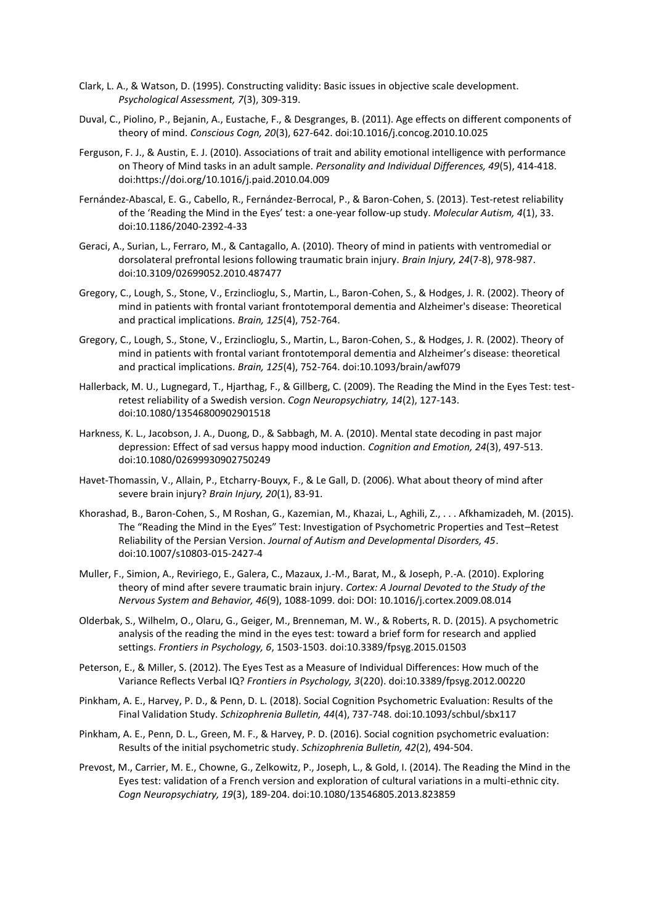- Clark, L. A., & Watson, D. (1995). Constructing validity: Basic issues in objective scale development. *Psychological Assessment, 7*(3), 309-319.
- Duval, C., Piolino, P., Bejanin, A., Eustache, F., & Desgranges, B. (2011). Age effects on different components of theory of mind. *Conscious Cogn, 20*(3), 627-642. doi:10.1016/j.concog.2010.10.025
- Ferguson, F. J., & Austin, E. J. (2010). Associations of trait and ability emotional intelligence with performance on Theory of Mind tasks in an adult sample. *Personality and Individual Differences, 49*(5), 414-418. doi:https://doi.org/10.1016/j.paid.2010.04.009
- Fernández-Abascal, E. G., Cabello, R., Fernández-Berrocal, P., & Baron-Cohen, S. (2013). Test-retest reliability of the 'Reading the Mind in the Eyes' test: a one-year follow-up study. *Molecular Autism, 4*(1), 33. doi:10.1186/2040-2392-4-33
- Geraci, A., Surian, L., Ferraro, M., & Cantagallo, A. (2010). Theory of mind in patients with ventromedial or dorsolateral prefrontal lesions following traumatic brain injury. *Brain Injury, 24*(7-8), 978-987. doi:10.3109/02699052.2010.487477
- Gregory, C., Lough, S., Stone, V., Erzinclioglu, S., Martin, L., Baron-Cohen, S., & Hodges, J. R. (2002). Theory of mind in patients with frontal variant frontotemporal dementia and Alzheimer's disease: Theoretical and practical implications. *Brain, 125*(4), 752-764.
- Gregory, C., Lough, S., Stone, V., Erzinclioglu, S., Martin, L., Baron‐Cohen, S., & Hodges, J. R. (2002). Theory of mind in patients with frontal variant frontotemporal dementia and Alzheimer's disease: theoretical and practical implications. *Brain, 125*(4), 752-764. doi:10.1093/brain/awf079
- Hallerback, M. U., Lugnegard, T., Hjarthag, F., & Gillberg, C. (2009). The Reading the Mind in the Eyes Test: testretest reliability of a Swedish version. *Cogn Neuropsychiatry, 14*(2), 127-143. doi:10.1080/13546800902901518
- Harkness, K. L., Jacobson, J. A., Duong, D., & Sabbagh, M. A. (2010). Mental state decoding in past major depression: Effect of sad versus happy mood induction. *Cognition and Emotion, 24*(3), 497-513. doi:10.1080/02699930902750249
- Havet-Thomassin, V., Allain, P., Etcharry-Bouyx, F., & Le Gall, D. (2006). What about theory of mind after severe brain injury? *Brain Injury, 20*(1), 83-91.
- Khorashad, B., Baron-Cohen, S., M Roshan, G., Kazemian, M., Khazai, L., Aghili, Z., . . . Afkhamizadeh, M. (2015). The "Reading the Mind in the Eyes" Test: Investigation of Psychometric Properties and Test–Retest Reliability of the Persian Version. *Journal of Autism and Developmental Disorders, 45*. doi:10.1007/s10803-015-2427-4
- Muller, F., Simion, A., Reviriego, E., Galera, C., Mazaux, J.-M., Barat, M., & Joseph, P.-A. (2010). Exploring theory of mind after severe traumatic brain injury. *Cortex: A Journal Devoted to the Study of the Nervous System and Behavior, 46*(9), 1088-1099. doi: DOI: 10.1016/j.cortex.2009.08.014
- Olderbak, S., Wilhelm, O., Olaru, G., Geiger, M., Brenneman, M. W., & Roberts, R. D. (2015). A psychometric analysis of the reading the mind in the eyes test: toward a brief form for research and applied settings. *Frontiers in Psychology, 6*, 1503-1503. doi:10.3389/fpsyg.2015.01503
- Peterson, E., & Miller, S. (2012). The Eyes Test as a Measure of Individual Differences: How much of the Variance Reflects Verbal IQ? *Frontiers in Psychology, 3*(220). doi:10.3389/fpsyg.2012.00220
- Pinkham, A. E., Harvey, P. D., & Penn, D. L. (2018). Social Cognition Psychometric Evaluation: Results of the Final Validation Study. *Schizophrenia Bulletin, 44*(4), 737-748. doi:10.1093/schbul/sbx117
- Pinkham, A. E., Penn, D. L., Green, M. F., & Harvey, P. D. (2016). Social cognition psychometric evaluation: Results of the initial psychometric study. *Schizophrenia Bulletin, 42*(2), 494-504.
- Prevost, M., Carrier, M. E., Chowne, G., Zelkowitz, P., Joseph, L., & Gold, I. (2014). The Reading the Mind in the Eyes test: validation of a French version and exploration of cultural variations in a multi-ethnic city. *Cogn Neuropsychiatry, 19*(3), 189-204. doi:10.1080/13546805.2013.823859